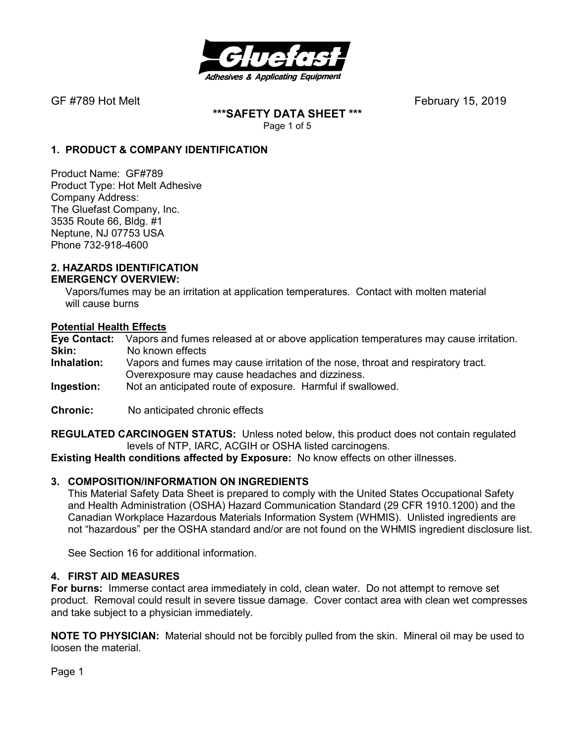

**\*\*\*SAFETY DATA SHEET \*\*\***  Page 1 of 5

### **1. PRODUCT & COMPANY IDENTIFICATION**

Product Name: GF#789 Product Type: Hot Melt Adhesive Company Address: The Gluefast Company, Inc. 3535 Route 66, Bldg. #1 Neptune, NJ 07753 USA Phone 732-918-4600

#### **2. HAZARDS IDENTIFICATION EMERGENCY OVERVIEW:**

 Vapors/fumes may be an irritation at application temperatures. Contact with molten material will cause burns

### **Potential Health Effects**

**Eye Contact:** Vapors and fumes released at or above application temperatures may cause irritation. **Skin:** No known effects **Inhalation:** Vapors and fumes may cause irritation of the nose, throat and respiratory tract. Overexposure may cause headaches and dizziness. **Ingestion:** Not an anticipated route of exposure. Harmful if swallowed.

**Chronic:** No anticipated chronic effects

**REGULATED CARCINOGEN STATUS:** Unless noted below, this product does not contain regulated levels of NTP, IARC, ACGIH or OSHA listed carcinogens.

**Existing Health conditions affected by Exposure:** No know effects on other illnesses.

### **3. COMPOSITION/INFORMATION ON INGREDIENTS**

This Material Safety Data Sheet is prepared to comply with the United States Occupational Safety and Health Administration (OSHA) Hazard Communication Standard (29 CFR 1910.1200) and the Canadian Workplace Hazardous Materials Information System (WHMIS). Unlisted ingredients are not "hazardous" per the OSHA standard and/or are not found on the WHMIS ingredient disclosure list.

See Section 16 for additional information.

### **4. FIRST AID MEASURES**

**For burns:** Immerse contact area immediately in cold, clean water. Do not attempt to remove set product. Removal could result in severe tissue damage. Cover contact area with clean wet compresses and take subject to a physician immediately.

**NOTE TO PHYSICIAN:** Material should not be forcibly pulled from the skin. Mineral oil may be used to loosen the material.

Page 1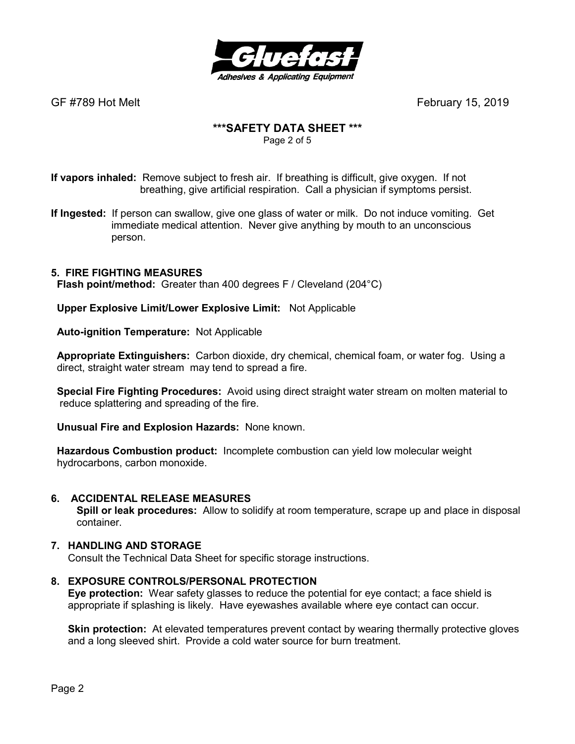

# **\*\*\*SAFETY DATA SHEET \*\*\***

Page 2 of 5

**If vapors inhaled:** Remove subject to fresh air. If breathing is difficult, give oxygen. If not breathing, give artificial respiration. Call a physician if symptoms persist.

**If Ingested:** If person can swallow, give one glass of water or milk. Do not induce vomiting. Get immediate medical attention. Never give anything by mouth to an unconscious person.

### **5. FIRE FIGHTING MEASURES**

 **Flash point/method:** Greater than 400 degrees F / Cleveland (204°C)

 **Upper Explosive Limit/Lower Explosive Limit:** Not Applicable

 **Auto-ignition Temperature:** Not Applicable

 **Appropriate Extinguishers:** Carbon dioxide, dry chemical, chemical foam, or water fog. Using a direct, straight water stream may tend to spread a fire.

 **Special Fire Fighting Procedures:** Avoid using direct straight water stream on molten material to reduce splattering and spreading of the fire.

 **Unusual Fire and Explosion Hazards:** None known.

 **Hazardous Combustion product:** Incomplete combustion can yield low molecular weight hydrocarbons, carbon monoxide.

### **6. ACCIDENTAL RELEASE MEASURES**

 **Spill or leak procedures:** Allow to solidify at room temperature, scrape up and place in disposal container.

### **7. HANDLING AND STORAGE**

Consult the Technical Data Sheet for specific storage instructions.

### **8. EXPOSURE CONTROLS/PERSONAL PROTECTION**

**Eye protection:** Wear safety glasses to reduce the potential for eye contact; a face shield is appropriate if splashing is likely. Have eyewashes available where eye contact can occur.

**Skin protection:** At elevated temperatures prevent contact by wearing thermally protective gloves and a long sleeved shirt. Provide a cold water source for burn treatment.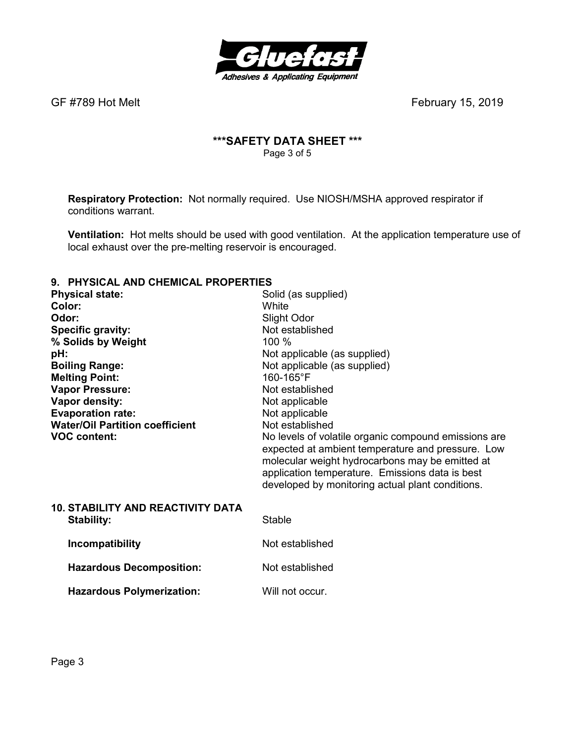

### **\*\*\*SAFETY DATA SHEET \*\*\***  Page 3 of 5

**Respiratory Protection:** Not normally required.Use NIOSH/MSHA approved respirator if conditions warrant.

**Ventilation:** Hot melts should be used with good ventilation. At the application temperature use of local exhaust over the pre-melting reservoir is encouraged.

# **9. PHYSICAL AND CHEMICAL PROPERTIES**

| Solid (as supplied)<br>White<br>Slight Odor<br>Not established<br>$100\%$<br>Not applicable (as supplied)<br>Not applicable (as supplied)<br>160-165°F<br>Not established<br>Not applicable<br>Not applicable<br>Not established<br>No levels of volatile organic compound emissions are<br>expected at ambient temperature and pressure. Low<br>molecular weight hydrocarbons may be emitted at<br>application temperature. Emissions data is best<br>developed by monitoring actual plant conditions. |
|---------------------------------------------------------------------------------------------------------------------------------------------------------------------------------------------------------------------------------------------------------------------------------------------------------------------------------------------------------------------------------------------------------------------------------------------------------------------------------------------------------|
| Stable                                                                                                                                                                                                                                                                                                                                                                                                                                                                                                  |
| Not established                                                                                                                                                                                                                                                                                                                                                                                                                                                                                         |
| Not established                                                                                                                                                                                                                                                                                                                                                                                                                                                                                         |
|                                                                                                                                                                                                                                                                                                                                                                                                                                                                                                         |

Hazardous Polymerization: Will not occur.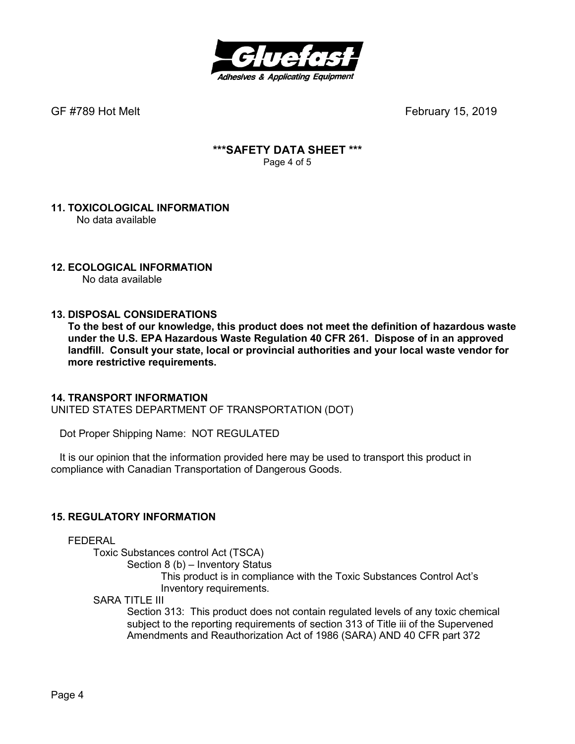

### **\*\*\*SAFETY DATA SHEET \*\*\***  Page 4 of 5

#### **11. TOXICOLOGICAL INFORMATION**  No data available

### **12. ECOLOGICAL INFORMATION**

No data available

### **13. DISPOSAL CONSIDERATIONS**

**To the best of our knowledge, this product does not meet the definition of hazardous waste under the U.S. EPA Hazardous Waste Regulation 40 CFR 261. Dispose of in an approved landfill. Consult your state, local or provincial authorities and your local waste vendor for more restrictive requirements.** 

### **14. TRANSPORT INFORMATION**

UNITED STATES DEPARTMENT OF TRANSPORTATION (DOT)

Dot Proper Shipping Name: NOT REGULATED

 It is our opinion that the information provided here may be used to transport this product in compliance with Canadian Transportation of Dangerous Goods.

### **15. REGULATORY INFORMATION**

FEDERAL

Toxic Substances control Act (TSCA)

Section 8 (b) – Inventory Status

 This product is in compliance with the Toxic Substances Control Act's Inventory requirements.

SARA TITLE III

Section 313: This product does not contain regulated levels of any toxic chemical subject to the reporting requirements of section 313 of Title iii of the Supervened Amendments and Reauthorization Act of 1986 (SARA) AND 40 CFR part 372